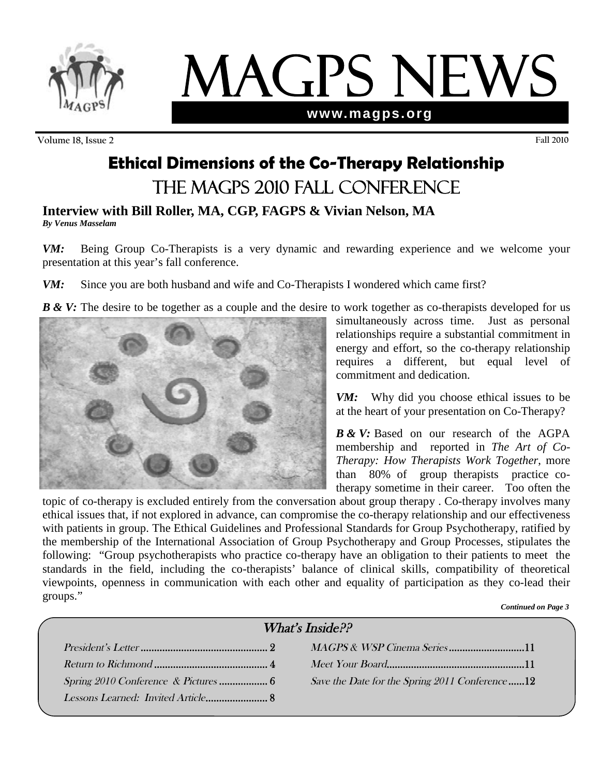

# MAGPS News **www.magps.org**

**Volume 18, Issue 2 Fall 2010**

## **Ethical Dimensions of the Co-Therapy Relationship** The MAGPS 2010 Fall Conference

**Interview with Bill Roller, MA, CGP, FAGPS & Vivian Nelson, MA** *By Venus Masselam*

*VM:* Being Group Co-Therapists is a very dynamic and rewarding experience and we welcome your presentation at this year's fall conference.

*VM:* Since you are both husband and wife and Co-Therapists I wondered which came first?

*B & V:* The desire to be together as a couple and the desire to work together as co-therapists developed for us



simultaneously across time. Just as personal relationships require a substantial commitment in energy and effort, so the co-therapy relationship requires a different, but equal level of commitment and dedication.

*VM:* Why did you choose ethical issues to be at the heart of your presentation on Co-Therapy?

*B & V:* Based on our research of the AGPA membership and reported in *The Art of Co-Therapy: How Therapists Work Together*, more than 80% of group therapists practice cotherapy sometime in their career. Too often the

topic of co-therapy is excluded entirely from the conversation about group therapy . Co-therapy involves many ethical issues that, if not explored in advance, can compromise the co-therapy relationship and our effectiveness with patients in group. The Ethical Guidelines and Professional Standards for Group Psychotherapy, ratified by the membership of the International Association of Group Psychotherapy and Group Processes, stipulates the following: "Group psychotherapists who practice co-therapy have an obligation to their patients to meet the standards in the field, including the co-therapists' balance of clinical skills, compatibility of theoretical viewpoints, openness in communication with each other and equality of participation as they co-lead their groups."

*Continued on Page 3*

|  | What's Inside $P$                              |  |
|--|------------------------------------------------|--|
|  |                                                |  |
|  |                                                |  |
|  | Save the Date for the Spring 2011 Conference12 |  |
|  |                                                |  |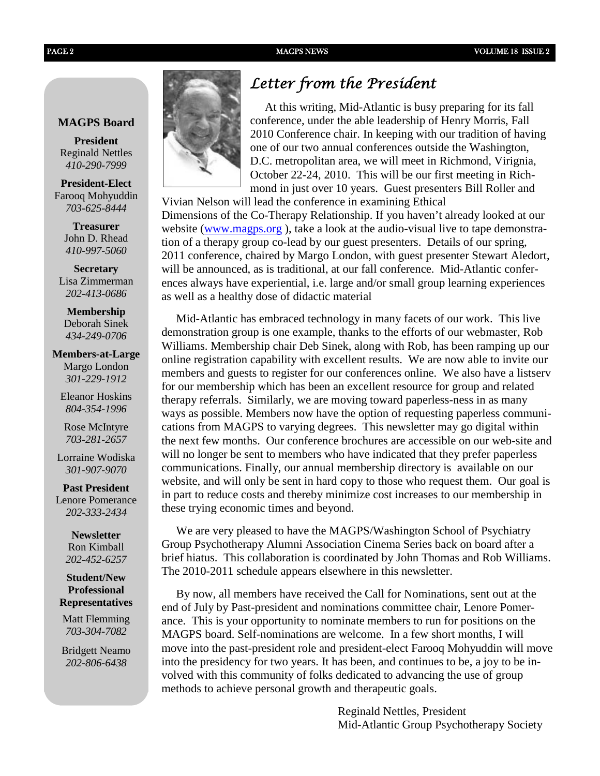#### **MAGPS Board**

**President** Reginald Nettles *410-290-7999*

**President-Elect** Farooq Mohyuddin *703-625-8444*

> **Treasurer** John D. Rhead *410-997-5060*

**Secretary** Lisa Zimmerman *202-413-0686*

**Membership** Deborah Sinek *434-249-0706*

**Members-at-Large** Margo London *301-229-1912*

Eleanor Hoskins *804-354-1996*

Rose McIntyre *703-281-2657*

Lorraine Wodiska *301-907-9070*

**Past President** Lenore Pomerance *202-333-2434*

> **Newsletter** Ron Kimball *202-452-6257*

**Student/New Professional Representatives**

Matt Flemming *703-304-7082*

Bridgett Neamo *202-806-6438*



## Letter from the President

At this writing, Mid-Atlantic is busy preparing for its fall conference, under the able leadership of Henry Morris, Fall 2010 Conference chair. In keeping with our tradition of having one of our two annual conferences outside the Washington, D.C. metropolitan area, we will meet in Richmond, Virignia, October 22-24, 2010. This will be our first meeting in Richmond in just over 10 years. Guest presenters Bill Roller and

Vivian Nelson will lead the conference in examining Ethical Dimensions of the Co-Therapy Relationship. If you haven't already looked at our website (www.magps.org), take a look at the audio-visual live to tape demonstration of a therapy group co-lead by our guest presenters. Details of our spring, 2011 conference, chaired by Margo London, with guest presenter Stewart Aledort, will be announced, as is traditional, at our fall conference. Mid-Atlantic conferences always have experiential, i.e. large and/or small group learning experiences as well as a healthy dose of didactic material

Mid-Atlantic has embraced technology in many facets of our work. This live demonstration group is one example, thanks to the efforts of our webmaster, Rob Williams. Membership chair Deb Sinek, along with Rob, has been ramping up our online registration capability with excellent results. We are now able to invite our members and guests to register for our conferences online. We also have a listserv for our membership which has been an excellent resource for group and related therapy referrals. Similarly, we are moving toward paperless-ness in as many ways as possible. Members now have the option of requesting paperless communications from MAGPS to varying degrees. This newsletter may go digital within the next few months. Our conference brochures are accessible on our web-site and will no longer be sent to members who have indicated that they prefer paperless communications. Finally, our annual membership directory is available on our website, and will only be sent in hard copy to those who request them. Our goal is in part to reduce costs and thereby minimize cost increases to our membership in these trying economic times and beyond.

We are very pleased to have the MAGPS/Washington School of Psychiatry Group Psychotherapy Alumni Association Cinema Series back on board after a brief hiatus. This collaboration is coordinated by John Thomas and Rob Williams. The 2010-2011 schedule appears elsewhere in this newsletter.

By now, all members have received the Call for Nominations, sent out at the end of July by Past-president and nominations committee chair, Lenore Pomerance. This is your opportunity to nominate members to run for positions on the MAGPS board. Self-nominations are welcome. In a few short months, I will move into the past-president role and president-elect Farooq Mohyuddin will move into the presidency for two years. It has been, and continues to be, a joy to be involved with this community of folks dedicated to advancing the use of group methods to achieve personal growth and therapeutic goals.

> Reginald Nettles, President Mid-Atlantic Group Psychotherapy Society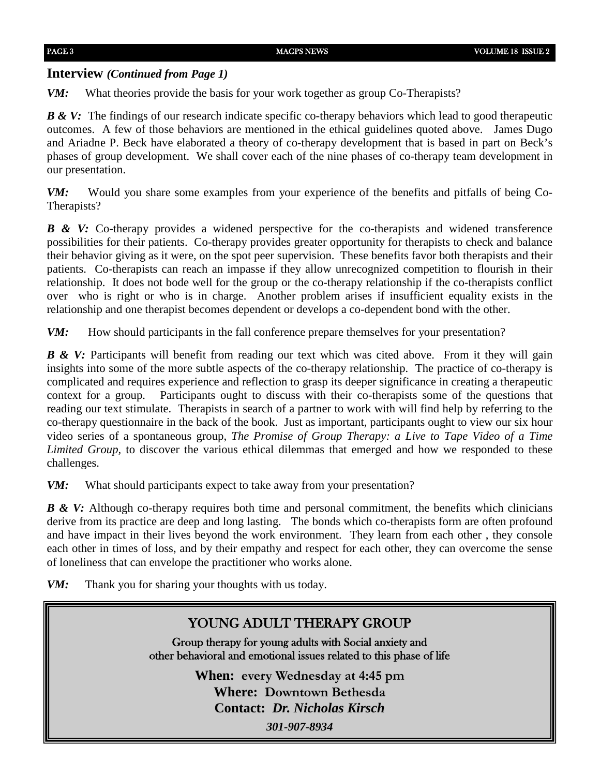#### **Interview** *(Continued from Page 1)*

*VM:* What theories provide the basis for your work together as group Co-Therapists?

*B & V:* The findings of our research indicate specific co-therapy behaviors which lead to good therapeutic outcomes. A few of those behaviors are mentioned in the ethical guidelines quoted above. James Dugo and Ariadne P. Beck have elaborated a theory of co-therapy development that is based in part on Beck's phases of group development. We shall cover each of the nine phases of co-therapy team development in our presentation.

*VM:* Would you share some examples from your experience of the benefits and pitfalls of being Co-Therapists?

*B & V:* Co-therapy provides a widened perspective for the co-therapists and widened transference possibilities for their patients. Co-therapy provides greater opportunity for therapists to check and balance their behavior giving as it were, on the spot peer supervision. These benefits favor both therapists and their patients. Co-therapists can reach an impasse if they allow unrecognized competition to flourish in their relationship. It does not bode well for the group or the co-therapy relationship if the co-therapists conflict over who is right or who is in charge. Another problem arises if insufficient equality exists in the relationship and one therapist becomes dependent or develops a co-dependent bond with the other.

*VM:* How should participants in the fall conference prepare themselves for your presentation?

*B & V:* Participants will benefit from reading our text which was cited above. From it they will gain insights into some of the more subtle aspects of the co-therapy relationship. The practice of co-therapy is complicated and requires experience and reflection to grasp its deeper significance in creating a therapeutic context for a group. Participants ought to discuss with their co-therapists some of the questions that reading our text stimulate. Therapists in search of a partner to work with will find help by referring to the co-therapy questionnaire in the back of the book. Just as important, participants ought to view our six hour video series of a spontaneous group, *The Promise of Group Therapy: a Live to Tape Video of a Time Limited Group,* to discover the various ethical dilemmas that emerged and how we responded to these challenges.

*VM*: What should participants expect to take away from your presentation?

*B & V:* Although co-therapy requires both time and personal commitment, the benefits which clinicians derive from its practice are deep and long lasting. The bonds which co-therapists form are often profound and have impact in their lives beyond the work environment. They learn from each other , they console each other in times of loss, and by their empathy and respect for each other, they can overcome the sense of loneliness that can envelope the practitioner who works alone.

*VM:* Thank you for sharing your thoughts with us today.

### YOUNG ADULT THERAPY GROUP

Group therapy for young adults with Social anxiety and other behavioral and emotional issues related to this phase of life

> **When: every Wednesday at 4:45 pm Where: Downtown Bethesda Contact:** *Dr. Nicholas Kirsch 301-907-8934*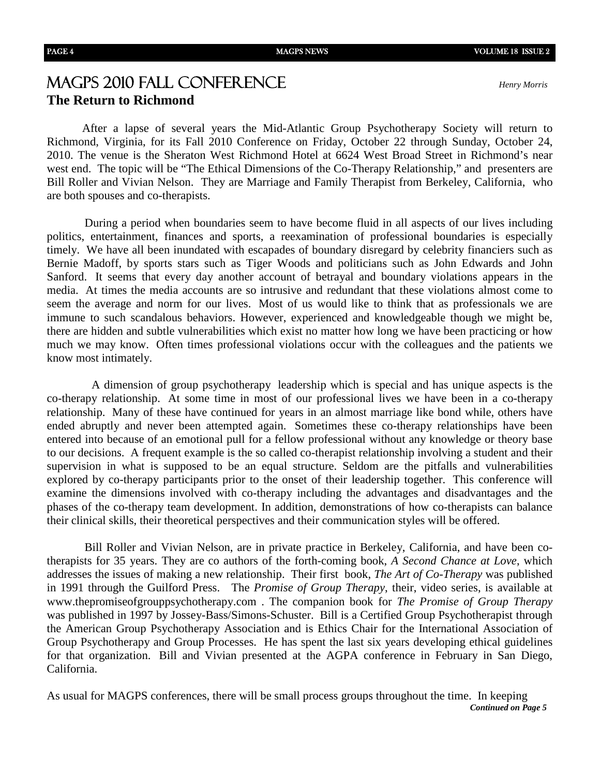## MAGPS 2010 Fall Conference *Henry Morris* **The Return to Richmond**

After a lapse of several years the Mid-Atlantic Group Psychotherapy Society will return to Richmond, Virginia, for its Fall 2010 Conference on Friday, October 22 through Sunday, October 24, 2010. The venue is the Sheraton West Richmond Hotel at 6624 West Broad Street in Richmond's near west end. The topic will be "The Ethical Dimensions of the Co-Therapy Relationship," and presenters are Bill Roller and Vivian Nelson. They are Marriage and Family Therapist from Berkeley, California, who are both spouses and co-therapists.

During a period when boundaries seem to have become fluid in all aspects of our lives including politics, entertainment, finances and sports, a reexamination of professional boundaries is especially timely. We have all been inundated with escapades of boundary disregard by celebrity financiers such as Bernie Madoff, by sports stars such as Tiger Woods and politicians such as John Edwards and John Sanford. It seems that every day another account of betrayal and boundary violations appears in the media. At times the media accounts are so intrusive and redundant that these violations almost come to seem the average and norm for our lives. Most of us would like to think that as professionals we are immune to such scandalous behaviors. However, experienced and knowledgeable though we might be, there are hidden and subtle vulnerabilities which exist no matter how long we have been practicing or how much we may know. Often times professional violations occur with the colleagues and the patients we know most intimately.

A dimension of group psychotherapy leadership which is special and has unique aspects is the co-therapy relationship. At some time in most of our professional lives we have been in a co-therapy relationship. Many of these have continued for years in an almost marriage like bond while, others have ended abruptly and never been attempted again. Sometimes these co-therapy relationships have been entered into because of an emotional pull for a fellow professional without any knowledge or theory base to our decisions. A frequent example is the so called co-therapist relationship involving a student and their supervision in what is supposed to be an equal structure. Seldom are the pitfalls and vulnerabilities explored by co-therapy participants prior to the onset of their leadership together. This conference will examine the dimensions involved with co-therapy including the advantages and disadvantages and the phases of the co-therapy team development. In addition, demonstrations of how co-therapists can balance their clinical skills, their theoretical perspectives and their communication styles will be offered.

Bill Roller and Vivian Nelson, are in private practice in Berkeley, California, and have been cotherapists for 35 years. They are co authors of the forth-coming book, *A Second Chance at Love*, which addresses the issues of making a new relationship. Their first book, *The Art of Co-Therapy* was published in 1991 through the Guilford Press. The *Promise of Group Therapy*, their, video series, is available at www.thepromiseofgrouppsychotherapy.com . The companion book for *The Promise of Group Therapy* was published in 1997 by Jossey-Bass/Simons-Schuster. Bill is a Certified Group Psychotherapist through the American Group Psychotherapy Association and is Ethics Chair for the International Association of Group Psychotherapy and Group Processes. He has spent the last six years developing ethical guidelines for that organization. Bill and Vivian presented at the AGPA conference in February in San Diego, California.

As usual for MAGPS conferences, there will be small process groups throughout the time. In keeping *Continued on Page 5*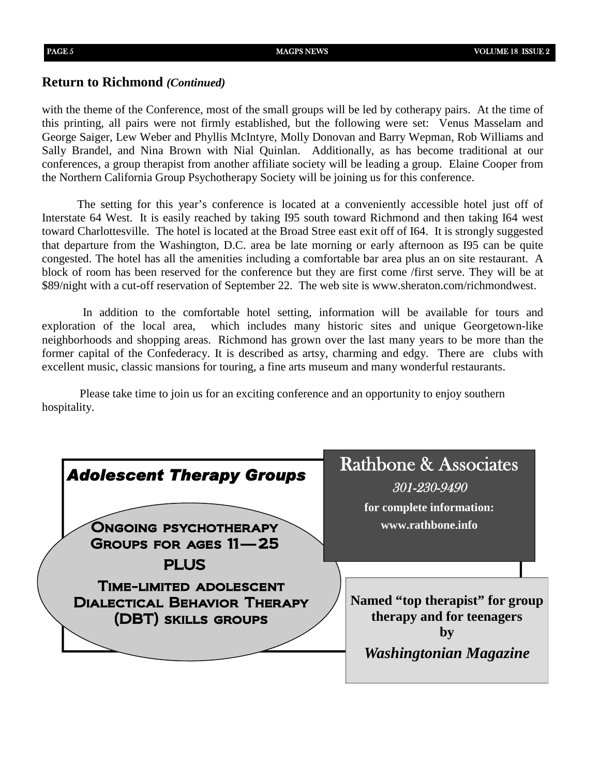#### **Return to Richmond** *(Continued)*

with the theme of the Conference, most of the small groups will be led by cotherapy pairs. At the time of this printing, all pairs were not firmly established, but the following were set: Venus Masselam and George Saiger, Lew Weber and Phyllis McIntyre, Molly Donovan and Barry Wepman, Rob Williams and Sally Brandel, and Nina Brown with Nial Quinlan. Additionally, as has become traditional at our conferences, a group therapist from another affiliate society will be leading a group. Elaine Cooper from the Northern California Group Psychotherapy Society will be joining us for this conference.

The setting for this year's conference is located at a conveniently accessible hotel just off of Interstate 64 West. It is easily reached by taking I95 south toward Richmond and then taking I64 west toward Charlottesville. The hotel is located at the Broad Stree east exit off of I64. It is strongly suggested that departure from the Washington, D.C. area be late morning or early afternoon as I95 can be quite congested. The hotel has all the amenities including a comfortable bar area plus an on site restaurant. A block of room has been reserved for the conference but they are first come /first serve. They will be at \$89/night with a cut-off reservation of September 22. The web site is www.sheraton.com/richmondwest.

In addition to the comfortable hotel setting, information will be available for tours and exploration of the local area, which includes many historic sites and unique Georgetown-like neighborhoods and shopping areas. Richmond has grown over the last many years to be more than the former capital of the Confederacy. It is described as artsy, charming and edgy. There are clubs with excellent music, classic mansions for touring, a fine arts museum and many wonderful restaurants.

Please take time to join us for an exciting conference and an opportunity to enjoy southern hospitality.

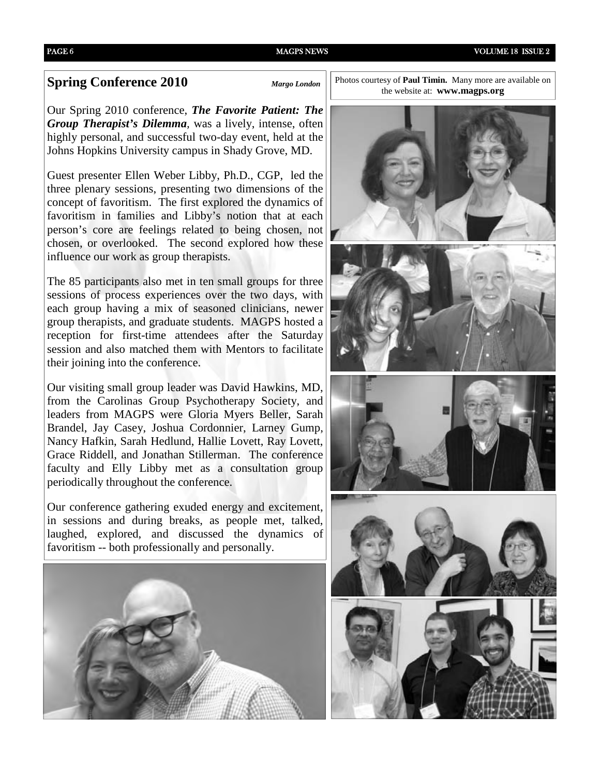#### **Spring Conference 2010** *Margo London*

Our Spring 2010 conference, *The Favorite Patient: The Group Therapist's Dilemma,* was a lively, intense, often highly personal, and successful two-day event, held at the Johns Hopkins University campus in Shady Grove, MD.

Guest presenter Ellen Weber Libby, Ph.D., CGP, led the three plenary sessions, presenting two dimensions of the concept of favoritism. The first explored the dynamics of favoritism in families and Libby's notion that at each person's core are feelings related to being chosen, not chosen, or overlooked. The second explored how these influence our work as group therapists.

The 85 participants also met in ten small groups for three sessions of process experiences over the two days, with each group having a mix of seasoned clinicians, newer group therapists, and graduate students. MAGPS hosted a reception for first-time attendees after the Saturday session and also matched them with Mentors to facilitate their joining into the conference.

Our visiting small group leader was David Hawkins, MD, from the Carolinas Group Psychotherapy Society, and leaders from MAGPS were Gloria Myers Beller, Sarah Brandel, Jay Casey, Joshua Cordonnier, Larney Gump, Nancy Hafkin, Sarah Hedlund, Hallie Lovett, Ray Lovett, Grace Riddell, and Jonathan Stillerman. The conference faculty and Elly Libby met as a consultation group periodically throughout the conference.

Our conference gathering exuded energy and excitement, in sessions and during breaks, as people met, talked, laughed, explored, and discussed the dynamics of favoritism -- both professionally and personally.



Photos courtesy of **Paul Timin.** Many more are available on the website at: **www.magps.org**

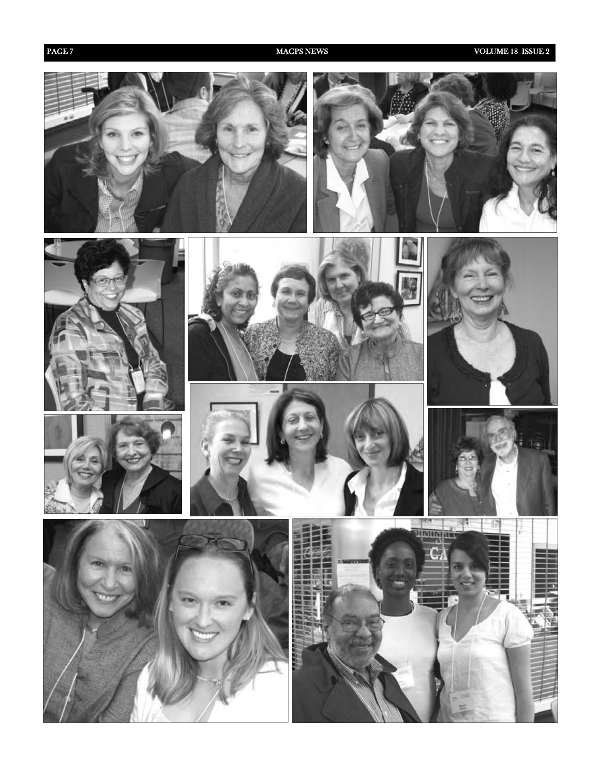

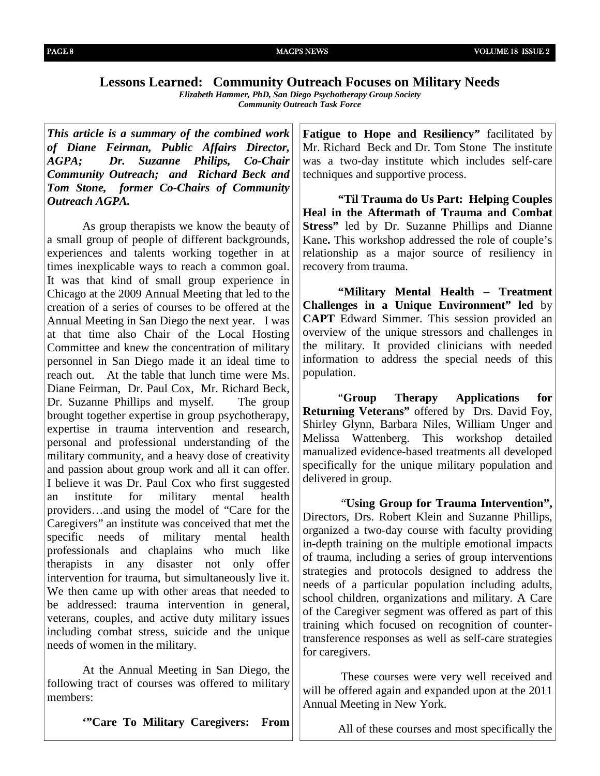**Lessons Learned: Community Outreach Focuses on Military Needs**

*Elizabeth Hammer, PhD, San Diego Psychotherapy Group Society Community Outreach Task Force*

*This article is a summary of the combined work of Diane Feirman, Public Affairs Director, AGPA; Dr. Suzanne Philips, Co-Chair Community Outreach; and Richard Beck and Tom Stone, former Co-Chairs of Community Outreach AGPA.*

As group therapists we know the beauty of a small group of people of different backgrounds, experiences and talents working together in at times inexplicable ways to reach a common goal. It was that kind of small group experience in Chicago at the 2009 Annual Meeting that led to the creation of a series of courses to be offered at the Annual Meeting in San Diego the next year. I was at that time also Chair of the Local Hosting Committee and knew the concentration of military personnel in San Diego made it an ideal time to reach out. At the table that lunch time were Ms. Diane Feirman, Dr. Paul Cox, Mr. Richard Beck, Dr. Suzanne Phillips and myself. The group brought together expertise in group psychotherapy, expertise in trauma intervention and research, personal and professional understanding of the military community, and a heavy dose of creativity and passion about group work and all it can offer. I believe it was Dr. Paul Cox who first suggested an institute for military mental health providers…and using the model of "Care for the Caregivers" an institute was conceived that met the specific needs of military mental health professionals and chaplains who much like therapists in any disaster not only offer intervention for trauma, but simultaneously live it. We then came up with other areas that needed to be addressed: trauma intervention in general, veterans, couples, and active duty military issues including combat stress, suicide and the unique needs of women in the military.

At the Annual Meeting in San Diego, the following tract of courses was offered to military members:

**'"Care To Military Caregivers: From**

**Fatigue to Hope and Resiliency"** facilitated by Mr. Richard Beck and Dr. Tom Stone The institute was a two-day institute which includes self-care techniques and supportive process.

**"Til Trauma do Us Part: Helping Couples Heal in the Aftermath of Trauma and Combat Stress"** led by Dr. Suzanne Phillips and Dianne Kane**.** This workshop addressed the role of couple's relationship as a major source of resiliency in recovery from trauma.

**"Military Mental Health – Treatment Challenges in a Unique Environment" led** by **CAPT** Edward Simmer. This session provided an overview of the unique stressors and challenges in the military. It provided clinicians with needed information to address the special needs of this population.

"**Group Therapy Applications for Returning Veterans"** offered by Drs. David Foy, Shirley Glynn, Barbara Niles, William Unger and Melissa Wattenberg. This workshop detailed manualized evidence-based treatments all developed specifically for the unique military population and delivered in group.

"**Using Group for Trauma Intervention",** Directors, Drs. Robert Klein and Suzanne Phillips, organized a two-day course with faculty providing in-depth training on the multiple emotional impacts of trauma, including a series of group interventions strategies and protocols designed to address the needs of a particular population including adults, school children, organizations and military. A Care of the Caregiver segment was offered as part of this training which focused on recognition of countertransference responses as well as self-care strategies for caregivers.

These courses were very well received and will be offered again and expanded upon at the 2011 Annual Meeting in New York.

All of these courses and most specifically the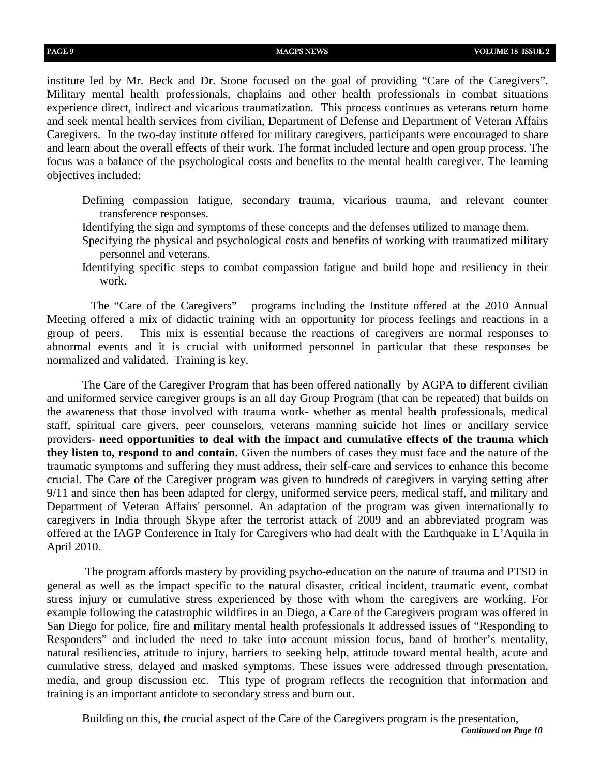institute led by Mr. Beck and Dr. Stone focused on the goal of providing "Care of the Caregivers". Military mental health professionals, chaplains and other health professionals in combat situations experience direct, indirect and vicarious traumatization. This process continues as veterans return home and seek mental health services from civilian, Department of Defense and Department of Veteran Affairs Caregivers. In the two-day institute offered for military caregivers, participants were encouraged to share and learn about the overall effects of their work. The format included lecture and open group process. The focus was a balance of the psychological costs and benefits to the mental health caregiver. The learning objectives included:

- Defining compassion fatigue, secondary trauma, vicarious trauma, and relevant counter transference responses.
- Identifying the sign and symptoms of these concepts and the defenses utilized to manage them.
- Specifying the physical and psychological costs and benefits of working with traumatized military personnel and veterans.
- Identifying specific steps to combat compassion fatigue and build hope and resiliency in their work.

The "Care of the Caregivers" programs including the Institute offered at the 2010 Annual Meeting offered a mix of didactic training with an opportunity for process feelings and reactions in a group of peers. This mix is essential because the reactions of caregivers are normal responses to abnormal events and it is crucial with uniformed personnel in particular that these responses be normalized and validated. Training is key.

The Care of the Caregiver Program that has been offered nationally by AGPA to different civilian and uniformed service caregiver groups is an all day Group Program (that can be repeated) that builds on the awareness that those involved with trauma work- whether as mental health professionals, medical staff, spiritual care givers, peer counselors, veterans manning suicide hot lines or ancillary service providers- **need opportunities to deal with the impact and cumulative effects of the trauma which they listen to, respond to and contain.** Given the numbers of cases they must face and the nature of the traumatic symptoms and suffering they must address, their self-care and services to enhance this become crucial. The Care of the Caregiver program was given to hundreds of caregivers in varying setting after 9/11 and since then has been adapted for clergy, uniformed service peers, medical staff, and military and Department of Veteran Affairs' personnel. An adaptation of the program was given internationally to caregivers in India through Skype after the terrorist attack of 2009 and an abbreviated program was offered at the IAGP Conference in Italy for Caregivers who had dealt with the Earthquake in L'Aquila in April 2010.

The program affords mastery by providing psycho-education on the nature of trauma and PTSD in general as well as the impact specific to the natural disaster, critical incident, traumatic event, combat stress injury or cumulative stress experienced by those with whom the caregivers are working. For example following the catastrophic wildfires in an Diego, a Care of the Caregivers program was offered in San Diego for police, fire and military mental health professionals It addressed issues of "Responding to Responders" and included the need to take into account mission focus, band of brother's mentality, natural resiliencies, attitude to injury, barriers to seeking help, attitude toward mental health, acute and cumulative stress, delayed and masked symptoms. These issues were addressed through presentation, media, and group discussion etc. This type of program reflects the recognition that information and training is an important antidote to secondary stress and burn out.

Building on this, the crucial aspect of the Care of the Caregivers program is the presentation,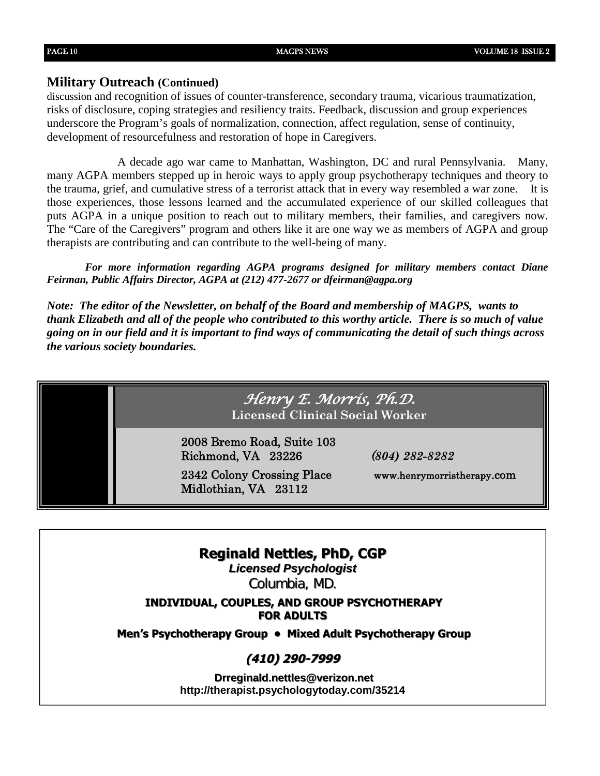#### **Military Outreach (Continued)**

discussion and recognition of issues of counter-transference, secondary trauma, vicarious traumatization, risks of disclosure, coping strategies and resiliency traits. Feedback, discussion and group experiences underscore the Program's goals of normalization, connection, affect regulation, sense of continuity, development of resourcefulness and restoration of hope in Caregivers.

A decade ago war came to Manhattan, Washington, DC and rural Pennsylvania. Many, many AGPA members stepped up in heroic ways to apply group psychotherapy techniques and theory to the trauma, grief, and cumulative stress of a terrorist attack that in every way resembled a war zone. It is those experiences, those lessons learned and the accumulated experience of our skilled colleagues that puts AGPA in a unique position to reach out to military members, their families, and caregivers now. The "Care of the Caregivers" program and others like it are one way we as members of AGPA and group therapists are contributing and can contribute to the well-being of many.

*For more information regarding AGPA programs designed for military members contact Diane Feirman, Public Affairs Director, AGPA at (212) 477-2677 or dfeirman@agpa.org*

*Note: The editor of the Newsletter, on behalf of the Board and membership of MAGPS, wants to thank Elizabeth and all of the people who contributed to this worthy article. There is so much of value going on in our field and it is important to find ways of communicating the detail of such things across the various society boundaries.*

## Henry E. Morris, Ph.D.

**Licensed Clinical Social Worker**

2008 Bremo Road, Suite 103 Richmond, VA 23226 (*804) 282-8282*

2342 Colony Crossing Place www.henrymorristherapy.com Midlothian, VA 23112

#### **Reginald Nettles, PhD, CGP**

*Licensed Psychologist* Columbia, MD.

**INDIVIDUAL, COUPLES, AND GROUP PSYCHOTHERAPY FOR ADULTS**

**Men's Psychotherapy Group • Mixed Adult Psychotherapy Group**

#### **(410) 290-7999**

**Drreginald.nettles@verizon.net http://therapist.psychologytoday.com/35214**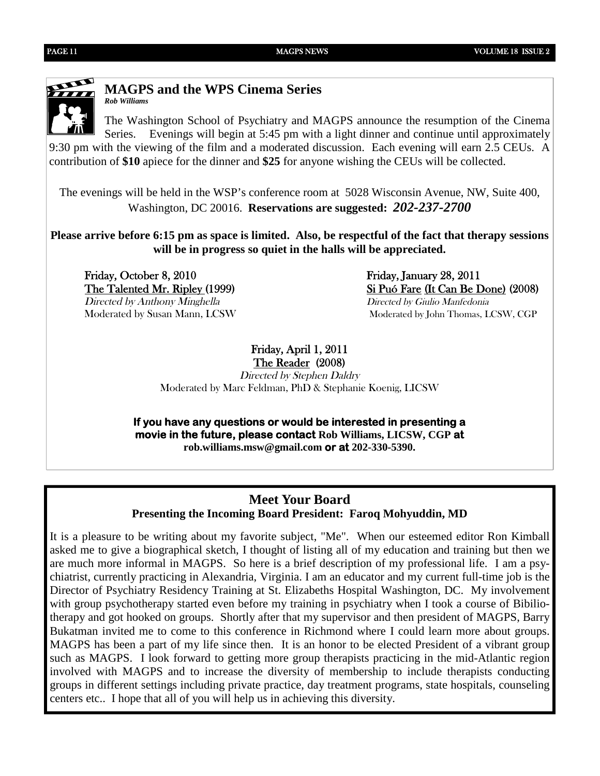

#### **MAGPS and the WPS Cinema Series** *Rob Williams*

The Washington School of Psychiatry and MAGPS announce the resumption of the Cinema Series. Evenings will begin at 5:45 pm with a light dinner and continue until approximately 9:30 pm with the viewing of the film and a moderated discussion. Each evening will earn 2.5 CEUs. A contribution of **\$10** apiece for the dinner and **\$25** for anyone wishing the CEUs will be collected.

The evenings will be held in the WSP's conference room at 5028 Wisconsin Avenue, NW, Suite 400, Washington, DC 20016. **Reservations are suggested:** *202-237-2700*

**Please arrive before 6:15 pm as space is limited. Also, be respectful of the fact that therapy sessions will be in progress so quiet in the halls will be appreciated.**

Friday, October 8, 2010 Friday, January 28, 2011

The Talented Mr. Ripley (1999) Si Puó Fare (It Can Be Done) (2008) Directed by Anthony Minghella Directed by Giulio Manfedonia Moderated by Susan Mann, LCSW Moderated by John Thomas, LCSW, CGP

#### Friday, April 1, 2011 The Reader (2008)

Directed by Stephen Daldry

Moderated by Marc Feldman, PhD & Stephanie Koenig, LICSW

**If you have any questions or would be interested in presenting a movie in the future, please contact Rob Williams, LICSW, CGP at rob.williams.msw@gmail.com or at 202-330-5390.**

### **Meet Your Board**

#### **Presenting the Incoming Board President: Faroq Mohyuddin, MD**

It is a pleasure to be writing about my favorite subject, "Me". When our esteemed editor Ron Kimball asked me to give a biographical sketch, I thought of listing all of my education and training but then we are much more informal in MAGPS. So here is a brief description of my professional life. I am a psychiatrist, currently practicing in Alexandria, Virginia. I am an educator and my current full-time job is the Director of Psychiatry Residency Training at St. Elizabeths Hospital Washington, DC. My involvement with group psychotherapy started even before my training in psychiatry when I took a course of Bibiliotherapy and got hooked on groups. Shortly after that my supervisor and then president of MAGPS, Barry Bukatman invited me to come to this conference in Richmond where I could learn more about groups. MAGPS has been a part of my life since then. It is an honor to be elected President of a vibrant group such as MAGPS. I look forward to getting more group therapists practicing in the mid-Atlantic region involved with MAGPS and to increase the diversity of membership to include therapists conducting groups in different settings including private practice, day treatment programs, state hospitals, counseling centers etc.. I hope that all of you will help us in achieving this diversity.